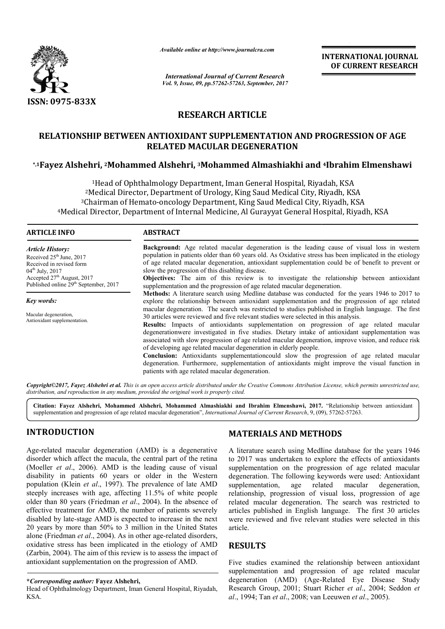

*Available online at http://www.journal http://www.journalcra.com*

*International Journal of Current Research Vol. 9, Issue, 09, pp.57262-57263, September, 2017* **INTERNATIONAL JOURNAL OF CURRENT RESEARCH** 

# **RESEARCH ARTICLE**

# **RELATIONSHIP BETWEEN ANTIOXIDANT SUPPLEMENTATION AND PROGRESSION OF AGE RELATED MACULAR DEGENERATION**

# **\*,1Fayez Alshehri, 2Mohammed Alshehri, Mohammed 3Mohammed Almashiakhi and Mohammed 4Ibrahim Elmenshawi**

1Head of Ophthalmology Department, Iman General Hospital, Riyadah, KSA<br>Medical Director, Department of Urology, King Saud Medical City, Riyadh, KS 2Medical Director, Department of Urology, King Saud Medical City, Riyadh, KSA 3Chairman of Hemato-oncology Department, King Saud Medical City, Riyadh, KSA <sup>1</sup>Head of Ophthalmology Department, Iman General Hospital, Riyadah, KSA<br><sup>2</sup>Medical Director, Department of Urology, King Saud Medical City, Riyadh, KSA<br><sup>3</sup>Chairman of Hemato-oncology Department, King Saud Medical City, Ri

#### **ARTICLE INFO ABSTRACT**

*Article History:* Received  $25<sup>th</sup>$  June, 2017 Received in revised form 04<sup>th</sup> July, 2017 Accepted 27<sup>th</sup> August, 2017 Published online 29<sup>th</sup> September, 2017

*Key words:*

Macular degeneration, Antioxidant supplementation.

**Background:** Age related macular degeneration is the leading cause of visual loss in western population in patients older than 60 years old. As Oxidative stress has been implicated in the etiology **Background:** Age related macular degeneration is the leading cause of visual loss in western population in patients older than 60 years old. As Oxidative stress has been implicated in the etiology of age related macular d slow the progression of this disabling disease. **Objectives:** The aim of this review is to investigate the relationship between antioxidant supplementation and the progression of age related macular degeneration. **Methods:** A literature search using Medline database was conducted for the years 1946 to 2017 to explore the relationship between antioxidant supplementation and the progression of age related **Objectives:** The aim of this review is to investigate the relationship between antioxidant supplementation and the progression. **Methods:** A literature search using Medline database was conducted for the years 1946 to 201 30 articles were reviewed and five relevant studies were selected in this analysis. **Results:** Impacts of antioxidants supplementation on progression of age related macular degenerationwere investigated in five studies. Dietary intake of antioxidant supplementation was associated with slow progression of age related macular degeneration, improve vision, and reduce risk of developing age related macular degeneration in elderly people. **Conclusion:** Antioxidants supplementationcould slow the progression of age related macular degeneration. Furthermore, supplementation of antioxidants might improve the visual function in patients with age related macular degeneration. 30 articles were reviewed and five relevant studies were selected in this analysis.<br>**Results:** Impacts of antioxidants supplementation on progression of age degenerationwere investigated in five studies. Dietary intake of

*Copyright©2017, Fayez Alshehri et al. This is an open access article distributed under the Creative Commons Attribution License, which ribution permits unrestricted use, distribution, and reproduction in any medium, provided the original work is properly cited.*

**Citation: Fayez Alshehri, Mohammed Alshehri, Mohammed Almashiakhi and Ibrahim Elmenshawi, 2017.** "Relationship between antioxidant supplementation and progression of age related macular degeneration", *International Journal of Current Research*, 9, (09), 57262-57263.

## **INTRODUCTION**

Age-related macular degeneration (AMD) is a degenerative disorder which affect the macula, the central part of the retina (Moeller *et al*., 2006). AMD is the leading cause of visual disability in patients 60 years or older in the Western population (Klein *et al*., 1997). The prevalence of late AMD steeply increases with age, affecting 11.5% of white people older than 80 years (Friedman *et al*., 2004). In the absence of effective treatment for AMD, the number of patients severely disabled by late-stage AMD is expected to increase in the next 20 years by more than 50% to 3 million in the United States alone (Friedman *et al*., 2004). As in other age oxidative stress has been implicated in the etiology of AMD (Zarbin, 2004). The aim of this review is to assess the impact of antioxidant supplementation on the progression of AMD. related macular degeneration (AMD) is a degenerative<br>der which affect the macula, the central part of the retina<br>eller *et al.*, 2006). AMD is the leading cause of visual<br>illity in patients 60 years or older in the Wester

Head of Ophthalmology Department, Iman General Hospital, Riyadah, KSA.

## **MATERIALS AND METHOD METHODS**

A literature search using Medline database for the years 1946 to 2017 was undertaken to explore the effects of antioxidants supplementation on the progression of age related macular degeneration. The following keywords were used: Antioxidant supplementation, age related relationship, progression of visual loss, progression of age related macular degeneration. The search was restricted to articles published in English language. The first 30 articles were reviewed and five relevant studies were selected in this article. search using Medline database for the years 1946<br>
i undertaken to explore the effects of antioxidants<br>
tion on the progression of age related macular<br>
in. The following keywords were used: Antioxidant<br>
tion, age related ma progression of visual loss, progression of age<br>lar degeneration. The search was restricted to<br>shed in English language. The first 30 articles<br>d and five relevant studies were selected in this

#### **RESULTS**

Five studies examined the relationship between antioxidant supplementation and progression of age related macular degeneration (AMD) (Age-Related Eye Disease Study Research Group, 2001; Stuart Richer *et al*., 2004; Seddon *et al*., 1994; Tan *et al*., 2008; van Leeuwen *et al*., 2005). elationship between antioxidant<br>ssion of age related macular<br>-Related Eye Disease Study

**<sup>\*</sup>***Corresponding author:* **Fayez Alshehri,**